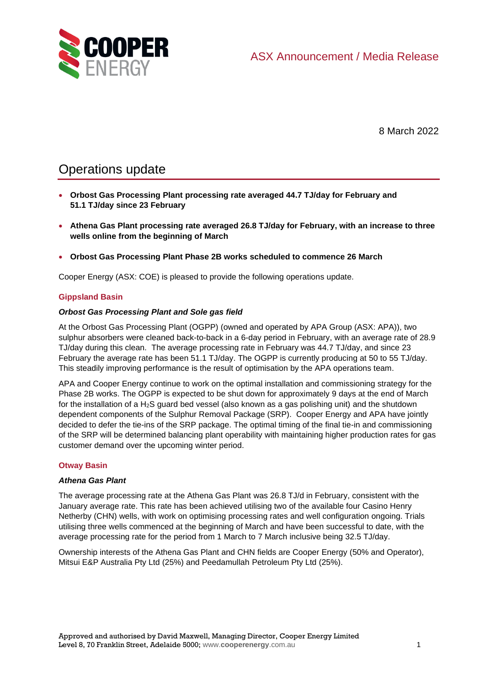

8 March 2022

# Operations update

- **Orbost Gas Processing Plant processing rate averaged 44.7 TJ/day for February and 51.1 TJ/day since 23 February**
- **Athena Gas Plant processing rate averaged 26.8 TJ/day for February, with an increase to three wells online from the beginning of March**
- **Orbost Gas Processing Plant Phase 2B works scheduled to commence 26 March**

Cooper Energy (ASX: COE) is pleased to provide the following operations update.

## **Gippsland Basin**

### *Orbost Gas Processing Plant and Sole gas field*

At the Orbost Gas Processing Plant (OGPP) (owned and operated by APA Group (ASX: APA)), two sulphur absorbers were cleaned back-to-back in a 6-day period in February, with an average rate of 28.9 TJ/day during this clean. The average processing rate in February was 44.7 TJ/day, and since 23 February the average rate has been 51.1 TJ/day. The OGPP is currently producing at 50 to 55 TJ/day. This steadily improving performance is the result of optimisation by the APA operations team.

APA and Cooper Energy continue to work on the optimal installation and commissioning strategy for the Phase 2B works. The OGPP is expected to be shut down for approximately 9 days at the end of March for the installation of a  $H_2S$  guard bed vessel (also known as a gas polishing unit) and the shutdown dependent components of the Sulphur Removal Package (SRP). Cooper Energy and APA have jointly decided to defer the tie-ins of the SRP package. The optimal timing of the final tie-in and commissioning of the SRP will be determined balancing plant operability with maintaining higher production rates for gas customer demand over the upcoming winter period.

### **Otway Basin**

### *Athena Gas Plant*

The average processing rate at the Athena Gas Plant was 26.8 TJ/d in February, consistent with the January average rate. This rate has been achieved utilising two of the available four Casino Henry Netherby (CHN) wells, with work on optimising processing rates and well configuration ongoing. Trials utilising three wells commenced at the beginning of March and have been successful to date, with the average processing rate for the period from 1 March to 7 March inclusive being 32.5 TJ/day.

Ownership interests of the Athena Gas Plant and CHN fields are Cooper Energy (50% and Operator), Mitsui E&P Australia Pty Ltd (25%) and Peedamullah Petroleum Pty Ltd (25%).